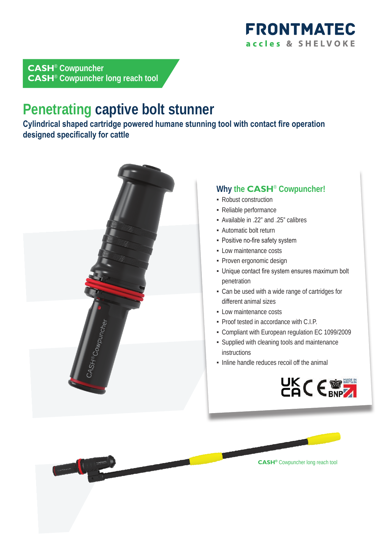

## **CASH**® **Cowpuncher CASH**® **Cowpuncher long reach tool**

# **Penetrating captive bolt stunner**

**Cylindrical shaped cartridge powered humane stunning tool with contact fire operation designed specifically for cattle**



### **Why the CASH**® **Cowpuncher!**

- Robust construction
- Reliable performance
- Available in .22" and .25" calibres
- **Automatic bolt return**
- **Positive no-fire safety system**
- **-** Low maintenance costs
- Proven ergonomic design
- Unique contact fire system ensures maximum bolt penetration
- Can be used with a wide range of cartridges for different animal sizes
- **.** Low maintenance costs
- Proof tested in accordance with C.I.P.
- Compliant with European regulation EC 1099/2009
- Supplied with cleaning tools and maintenance instructions
- Inline handle reduces recoil off the animal